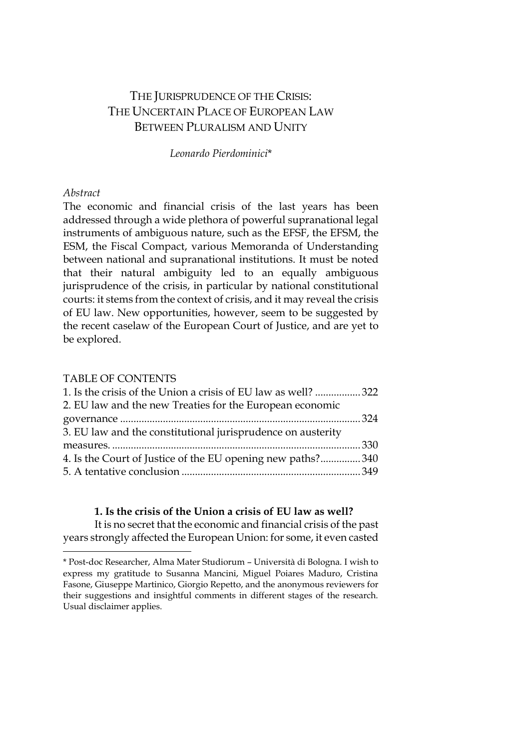# THE JURISPRUDENCE OF THE CRISIS: THE UNCERTAIN PLACE OF EUROPEAN LAW BETWEEN PLURALISM AND UNITY

*Leonardo Pierdominici*\*

# *Abstract*

 $\overline{a}$ 

The economic and financial crisis of the last years has been addressed through a wide plethora of powerful supranational legal instruments of ambiguous nature, such as the EFSF, the EFSM, the ESM, the Fiscal Compact, various Memoranda of Understanding between national and supranational institutions. It must be noted that their natural ambiguity led to an equally ambiguous jurisprudence of the crisis, in particular by national constitutional courts: it stems from the context of crisis, and it may reveal the crisis of EU law. New opportunities, however, seem to be suggested by the recent caselaw of the European Court of Justice, and are yet to be explored.

### TABLE OF CONTENTS

| 1. Is the crisis of the Union a crisis of EU law as well? 322 |  |
|---------------------------------------------------------------|--|
| 2. EU law and the new Treaties for the European economic      |  |
|                                                               |  |
| 3. EU law and the constitutional jurisprudence on austerity   |  |
|                                                               |  |
| 4. Is the Court of Justice of the EU opening new paths?340    |  |
|                                                               |  |
|                                                               |  |

### **1. Is the crisis of the Union a crisis of EU law as well?**

<span id="page-0-0"></span>It is no secret that the economic and financial crisis of the past years strongly affected the European Union: for some, it even casted

<sup>\*</sup> Post-doc Researcher, Alma Mater Studiorum – Università di Bologna. I wish to express my gratitude to Susanna Mancini, Miguel Poiares Maduro, Cristina Fasone, Giuseppe Martinico, Giorgio Repetto, and the anonymous reviewers for their suggestions and insightful comments in different stages of the research. Usual disclaimer applies.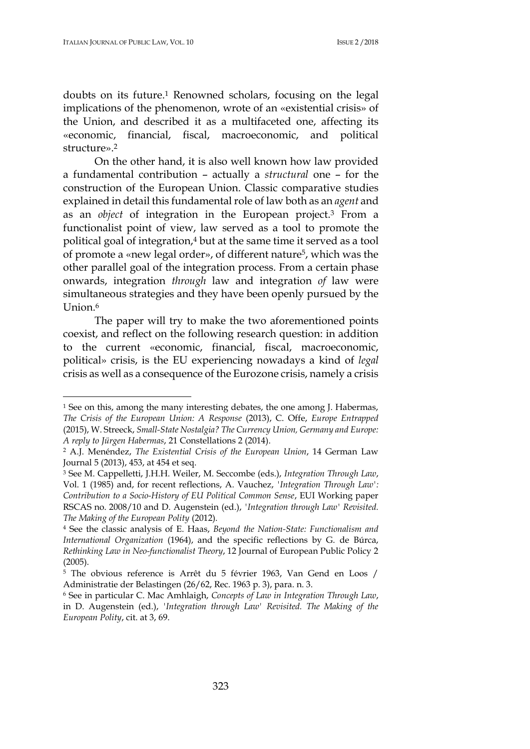doubts on its future.<sup>1</sup> Renowned scholars, focusing on the legal implications of the phenomenon, wrote of an «existential crisis» of the Union, and described it as a multifaceted one, affecting its «economic, financial, fiscal, macroeconomic, and political structure».<sup>2</sup>

On the other hand, it is also well known how law provided a fundamental contribution – actually a *structural* one – for the construction of the European Union. Classic comparative studies explained in detail this fundamental role of law both as an *agent* and as an *object* of integration in the European project.<sup>3</sup> From a functionalist point of view, law served as a tool to promote the political goal of integration,<sup>4</sup> but at the same time it served as a tool of promote a «new legal order», of different nature5, which was the other parallel goal of the integration process. From a certain phase onwards, integration *through* law and integration *of* law were simultaneous strategies and they have been openly pursued by the Union.<sup>6</sup>

The paper will try to make the two aforementioned points coexist, and reflect on the following research question: in addition to the current «economic, financial, fiscal, macroeconomic, political» crisis, is the EU experiencing nowadays a kind of *legal* crisis as well as a consequence of the Eurozone crisis, namely a crisis

<sup>1</sup> See on this, among the many interesting debates, the one among J. Habermas, *The Crisis of the European Union: A Response* (2013), C. Offe, *Europe Entrapped*  (2015), W. Streeck, *Small-State Nostalgia? The Currency Union, Germany and Europe: A reply to Jürgen Habermas*, 21 Constellations 2 (2014).

<sup>2</sup> A.J. Menéndez, *The Existential Crisis of the European Union*, 14 German Law Journal 5 (2013), 453, at 454 et seq.

<sup>3</sup> See M. Cappelletti, J.H.H. Weiler, M. Seccombe (eds.), *Integration Through Law*, Vol. 1 (1985) and, for recent reflections, A. Vauchez, *'Integration Through Law': Contribution to a Socio-History of EU Political Common Sense*, EUI Working paper RSCAS no. 2008/10 and D. Augenstein (ed.), *'Integration through Law' Revisited. The Making of the European Polity* (2012).

<sup>4</sup> See the classic analysis of E. Haas, *Beyond the Nation-State: Functionalism and International Organization* (1964), and the specific reflections by G. de Búrca, *Rethinking Law in Neo-functionalist Theory*, 12 Journal of European Public Policy 2 (2005).

<sup>5</sup> The obvious reference is Arrêt du 5 février 1963, Van Gend en Loos / Administratie der Belastingen (26/62, Rec. 1963 p. 3), para. n. 3.

<sup>6</sup> See in particular C. Mac Amhlaigh, *Concepts of Law in Integration Through Law*, in D. Augenstein (ed.), *'Integration through Law' Revisited. The Making of the European Polity*, cit. at 3, 69.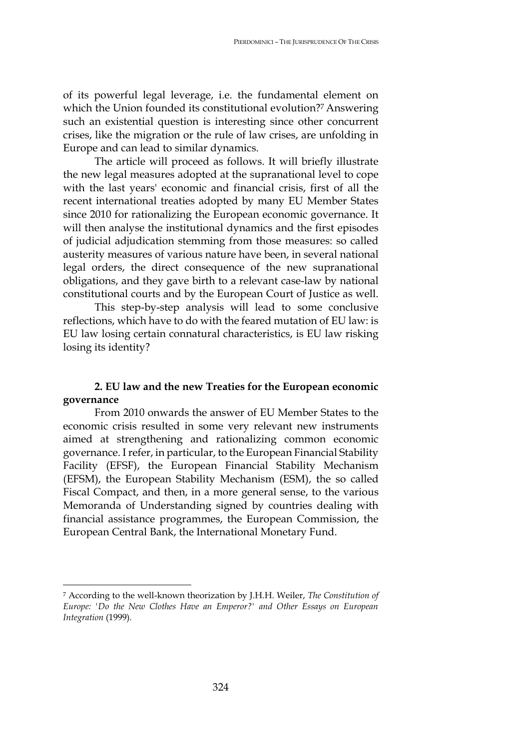of its powerful legal leverage, i.e. the fundamental element on which the Union founded its constitutional evolution?<sup>7</sup> Answering such an existential question is interesting since other concurrent crises, like the migration or the rule of law crises, are unfolding in Europe and can lead to similar dynamics.

The article will proceed as follows. It will briefly illustrate the new legal measures adopted at the supranational level to cope with the last years' economic and financial crisis, first of all the recent international treaties adopted by many EU Member States since 2010 for rationalizing the European economic governance. It will then analyse the institutional dynamics and the first episodes of judicial adjudication stemming from those measures: so called austerity measures of various nature have been, in several national legal orders, the direct consequence of the new supranational obligations, and they gave birth to a relevant case-law by national constitutional courts and by the European Court of Justice as well.

This step-by-step analysis will lead to some conclusive reflections, which have to do with the feared mutation of EU law: is EU law losing certain connatural characteristics, is EU law risking losing its identity?

# **2. EU law and the new Treaties for the European economic governance**

From 2010 onwards the answer of EU Member States to the economic crisis resulted in some very relevant new instruments aimed at strengthening and rationalizing common economic governance. Irefer, in particular, to the European Financial Stability Facility (EFSF), the European Financial Stability Mechanism (EFSM), the European Stability Mechanism (ESM), the so called Fiscal Compact, and then, in a more general sense, to the various Memoranda of Understanding signed by countries dealing with financial assistance programmes, the European Commission, the European Central Bank, the International Monetary Fund.

<sup>7</sup> According to the well-known theorization by J.H.H. Weiler, *The Constitution of Europe: 'Do the New Clothes Have an Emperor?' and Other Essays on European Integration* (1999).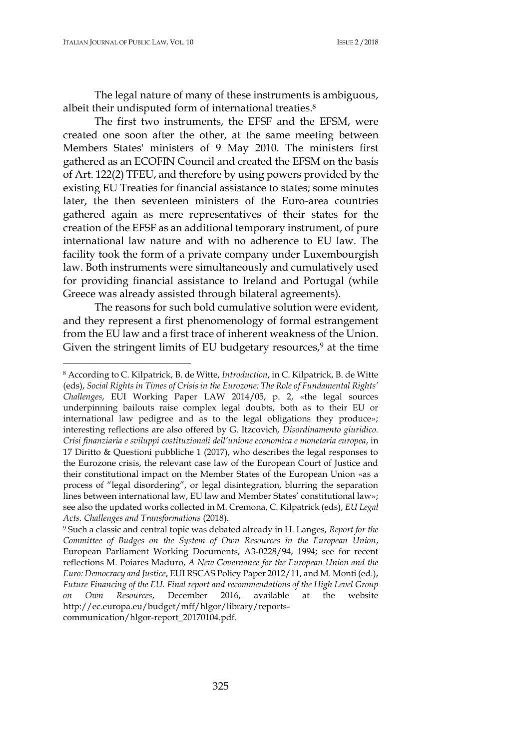The legal nature of many of these instruments is ambiguous, albeit their undisputed form of international treaties.<sup>8</sup>

The first two instruments, the EFSF and the EFSM, were created one soon after the other, at the same meeting between Members States' ministers of 9 May 2010. The ministers first gathered as an ECOFIN Council and created the EFSM on the basis of Art. 122(2) TFEU, and therefore by using powers provided by the existing EU Treaties for financial assistance to states; some minutes later, the then seventeen ministers of the Euro-area countries gathered again as mere representatives of their states for the creation of the EFSF as an additional temporary instrument, of pure international law nature and with no adherence to EU law. The facility took the form of a private company under Luxembourgish law. Both instruments were simultaneously and cumulatively used for providing financial assistance to Ireland and Portugal (while Greece was already assisted through bilateral agreements).

The reasons for such bold cumulative solution were evident, and they represent a first phenomenology of formal estrangement from the EU law and a first trace of inherent weakness of the Union. Given the stringent limits of EU budgetary resources,<sup>9</sup> at the time

<sup>8</sup> According to C. Kilpatrick, B. de Witte, *Introduction*, in C. Kilpatrick, B. de Witte (eds), *Social Rights in Times of Crisis in the Eurozone: The Role of Fundamental Rights' Challenges*, EUI Working Paper LAW 2014/05, p. 2, «the legal sources underpinning bailouts raise complex legal doubts, both as to their EU or international law pedigree and as to the legal obligations they produce»; interesting reflections are also offered by G. Itzcovich, *Disordinamento giuridico. Crisi finanziaria e sviluppi costituzionali dell'unione economica e monetaria europea*, in 17 Diritto & Questioni pubbliche 1 (2017), who describes the legal responses to the Eurozone crisis, the relevant case law of the European Court of Justice and their constitutional impact on the Member States of the European Union «as a process of "legal disordering", or legal disintegration, blurring the separation lines between international law, EU law and Member States' constitutional law»; see also the updated works collected in M. Cremona, C. Kilpatrick (eds), *EU Legal Acts. Challenges and Transformations* (2018).

<sup>9</sup> Such a classic and central topic was debated already in H. Langes, *Report for the Committee of Budges on the System of Own Resources in the European Union*, European Parliament Working Documents, A3-0228/94, 1994; see for recent reflections M. Poiares Maduro, *A New Governance for the European Union and the Euro: Democracy and Justice*, EUI RSCAS Policy Paper 2012/11, and M. Monti (ed.), *Future Financing of the EU. Final report and recommendations of the High Level Group on Own Resources*, December 2016, available at the website http://ec.europa.eu/budget/mff/hlgor/library/reportscommunication/hlgor-report\_20170104.pdf.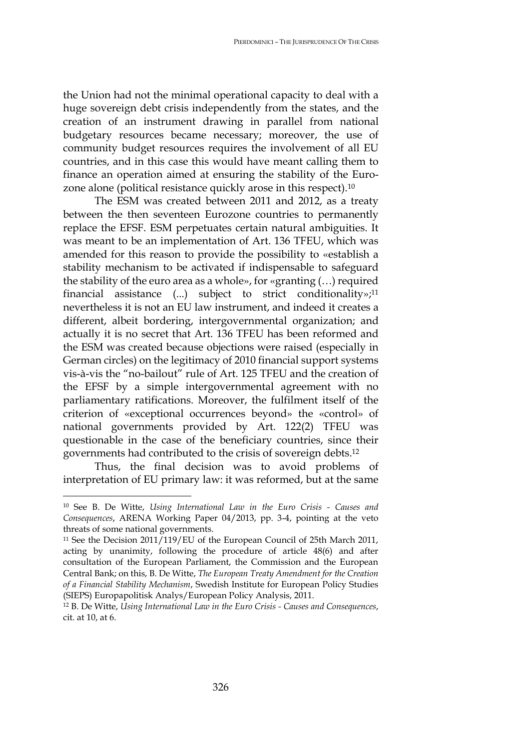the Union had not the minimal operational capacity to deal with a huge sovereign debt crisis independently from the states, and the creation of an instrument drawing in parallel from national budgetary resources became necessary; moreover, the use of community budget resources requires the involvement of all EU countries, and in this case this would have meant calling them to finance an operation aimed at ensuring the stability of the Eurozone alone (political resistance quickly arose in this respect).<sup>10</sup>

The ESM was created between 2011 and 2012, as a treaty between the then seventeen Eurozone countries to permanently replace the EFSF. ESM perpetuates certain natural ambiguities. It was meant to be an implementation of Art. 136 TFEU, which was amended for this reason to provide the possibility to «establish a stability mechanism to be activated if indispensable to safeguard the stability of the euro area as a whole», for «granting (…) required financial assistance  $(...)$  subject to strict conditionality»;<sup>11</sup> nevertheless it is not an EU law instrument, and indeed it creates a different, albeit bordering, intergovernmental organization; and actually it is no secret that Art. 136 TFEU has been reformed and the ESM was created because objections were raised (especially in German circles) on the legitimacy of 2010 financial support systems vis-à-vis the "no-bailout" rule of Art. 125 TFEU and the creation of the EFSF by a simple intergovernmental agreement with no parliamentary ratifications. Moreover, the fulfilment itself of the criterion of «exceptional occurrences beyond» the «control» of national governments provided by Art. 122(2) TFEU was questionable in the case of the beneficiary countries, since their governments had contributed to the crisis of sovereign debts.<sup>12</sup>

Thus, the final decision was to avoid problems of interpretation of EU primary law: it was reformed, but at the same

<sup>10</sup> See B. De Witte, *Using International Law in the Euro Crisis - Causes and Consequences*, ARENA Working Paper 04/2013, pp. 3-4, pointing at the veto threats of some national governments.

<sup>&</sup>lt;sup>11</sup> See the Decision 2011/119/EU of the European Council of 25th March 2011, acting by unanimity, following the procedure of article 48(6) and after consultation of the European Parliament, the Commission and the European Central Bank; on this, B. De Witte, *The European Treaty Amendment for the Creation of a Financial Stability Mechanism*, Swedish Institute for European Policy Studies (SIEPS) Europapolitisk Analys/European Policy Analysis, 2011.

<sup>12</sup> B. De Witte, *Using International Law in the Euro Crisis - Causes and Consequences*, cit. at 10, at 6.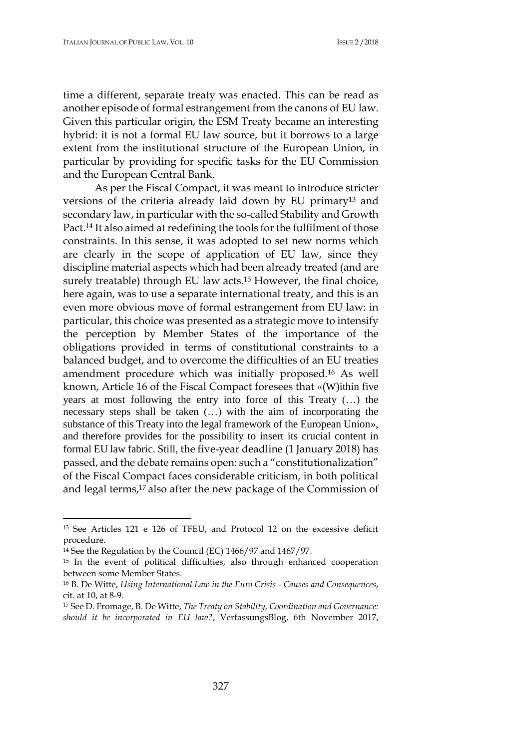time a different, separate treaty was enacted. This can be read as another episode of formal estrangement from the canons of EU law. Given this particular origin, the ESM Treaty became an interesting hybrid: it is not a formal EU law source, but it borrows to a large extent from the institutional structure of the European Union, in particular by providing for specific tasks for the EU Commission and the European Central Bank.

As per the Fiscal Compact, it was meant to introduce stricter versions of the criteria already laid down by EU primary<sup>13</sup> and secondary law, in particular with the so-called Stability and Growth Pact.<sup>14</sup> It also aimed at redefining the tools for the fulfilment of those constraints. In this sense, it was adopted to set new norms which are clearly in the scope of application of EU law, since they discipline material aspects which had been already treated (and are surely treatable) through EU law acts.<sup>15</sup> However, the final choice, here again, was to use a separate international treaty, and this is an even more obvious move of formal estrangement from EU law: in particular, this choice was presented as a strategic move to intensify the perception by Member States of the importance of the obligations provided in terms of constitutional constraints to a balanced budget, and to overcome the difficulties of an EU treaties amendment procedure which was initially proposed.<sup>16</sup> As well known, Article 16 of the Fiscal Compact foresees that «(W)ithin five years at most following the entry into force of this Treaty (…) the necessary steps shall be taken (…) with the aim of incorporating the substance of this Treaty into the legal framework of the European Union», and therefore provides for the possibility to insert its crucial content in formal EU law fabric. Still, the five-year deadline (1 January 2018) has passed, and the debate remains open: such a "constitutionalization" of the Fiscal Compact faces considerable criticism, in both political and legal terms,<sup>17</sup> also after the new package of the Commission of

<sup>13</sup> See Articles 121 e 126 of TFEU, and Protocol 12 on the excessive deficit procedure.

<sup>14</sup> See the Regulation by the Council (EC) 1466/97 and 1467/97*.*

<sup>15</sup> In the event of political difficulties, also through enhanced cooperation between some Member States.

<sup>16</sup> B. De Witte, *Using International Law in the Euro Crisis - Causes and Consequences*, cit. at 10, at 8-9.

<sup>17</sup> See D. Fromage, B. De Witte, *The Treaty on Stability, Coordination and Governance: should it be incorporated in EU law?*, VerfassungsBlog, 6th November 2017,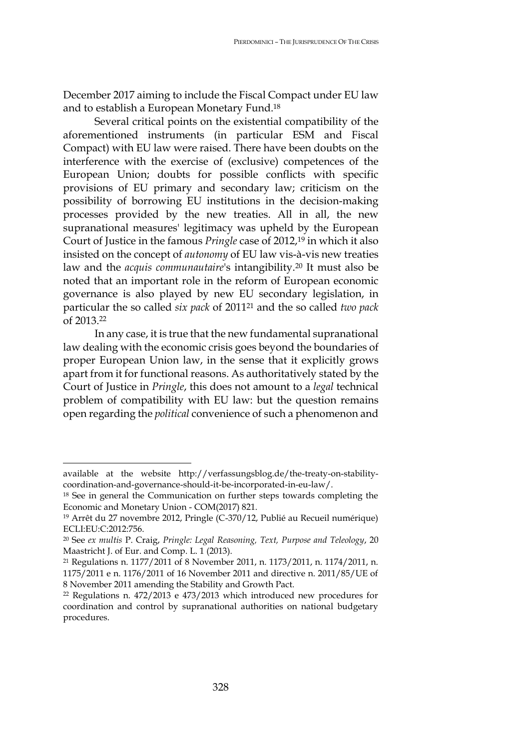December 2017 aiming to include the Fiscal Compact under EU law and to establish a European Monetary Fund. 18

Several critical points on the existential compatibility of the aforementioned instruments (in particular ESM and Fiscal Compact) with EU law were raised. There have been doubts on the interference with the exercise of (exclusive) competences of the European Union; doubts for possible conflicts with specific provisions of EU primary and secondary law; criticism on the possibility of borrowing EU institutions in the decision-making processes provided by the new treaties. All in all, the new supranational measures' legitimacy was upheld by the European Court of Justice in the famous *Pringle* case of 2012,<sup>19</sup> in which it also insisted on the concept of *autonomy* of EU law vis-à-vis new treaties law and the *acquis communautaire*'s intangibility.<sup>20</sup> It must also be noted that an important role in the reform of European economic governance is also played by new EU secondary legislation, in particular the so called *six pack* of 2011<sup>21</sup> and the so called *two pack* of 2013. 22

In any case, it is true that the new fundamental supranational law dealing with the economic crisis goes beyond the boundaries of proper European Union law, in the sense that it explicitly grows apart from it for functional reasons. As authoritatively stated by the Court of Justice in *Pringle*, this does not amount to a *legal* technical problem of compatibility with EU law: but the question remains open regarding the *political* convenience of such a phenomenon and

available at the website http://verfassungsblog.de/the-treaty-on-stabilitycoordination-and-governance-should-it-be-incorporated-in-eu-law/.

<sup>&</sup>lt;sup>18</sup> See in general the Communication on further steps towards completing the Economic and Monetary Union - COM(2017) 821.

<sup>19</sup> Arrêt du 27 novembre 2012, Pringle (C-370/12, Publié au Recueil numérique) ECLI:EU:C:2012:756.

<sup>20</sup> See *ex multis* P. Craig, *Pringle: Legal Reasoning, Text, Purpose and Teleology*, 20 Maastricht J. of Eur. and Comp. L. 1 (2013).

<sup>21</sup> Regulations n. 1177/2011 of 8 November 2011, n. 1173/2011, n. 1174/2011, n. 1175/2011 e n. 1176/2011 of 16 November 2011 and directive n. 2011/85/UE of 8 November 2011 amending the Stability and Growth Pact.

<sup>22</sup> Regulations n. 472/2013 e 473/2013 which introduced new procedures for coordination and control by supranational authorities on national budgetary procedures.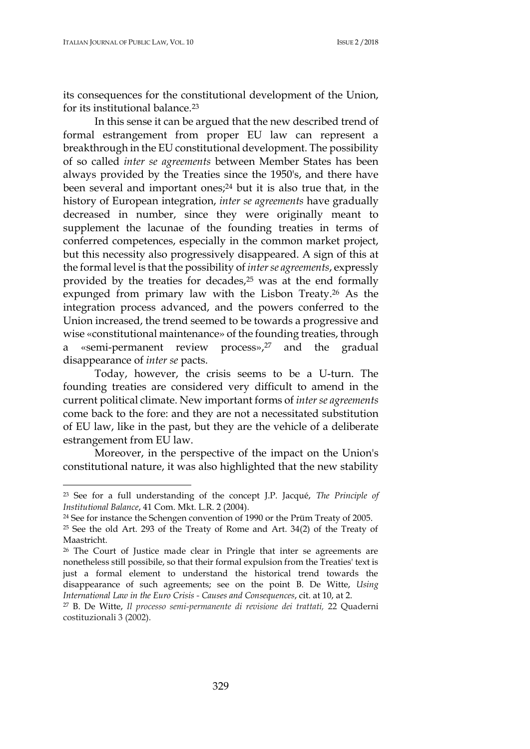its consequences for the constitutional development of the Union, for its institutional balance.<sup>23</sup>

In this sense it can be argued that the new described trend of formal estrangement from proper EU law can represent a breakthrough in the EU constitutional development. The possibility of so called *inter se agreements* between Member States has been always provided by the Treaties since the 1950's, and there have been several and important ones;<sup>24</sup> but it is also true that, in the history of European integration, *inter se agreements* have gradually decreased in number, since they were originally meant to supplement the lacunae of the founding treaties in terms of conferred competences, especially in the common market project, but this necessity also progressively disappeared. A sign of this at the formal level is that the possibility of *interse agreements*, expressly provided by the treaties for decades,<sup>25</sup> was at the end formally expunged from primary law with the Lisbon Treaty.<sup>26</sup> As the integration process advanced, and the powers conferred to the Union increased, the trend seemed to be towards a progressive and wise «constitutional maintenance» of the founding treaties, through a «semi-permanent review process»,<sup>27</sup> and the gradual disappearance of *inter se* pacts.

Today, however, the crisis seems to be a U-turn. The founding treaties are considered very difficult to amend in the current political climate. New important forms of *inter se agreements* come back to the fore: and they are not a necessitated substitution of EU law, like in the past, but they are the vehicle of a deliberate estrangement from EU law.

Moreover, in the perspective of the impact on the Union's constitutional nature, it was also highlighted that the new stability

<sup>23</sup> See for a full understanding of the concept J.P. Jacqué, *The Principle of Institutional Balance*, 41 Com. Mkt. L.R. 2 (2004).

<sup>24</sup> See for instance the Schengen convention of 1990 or the Prüm Treaty of 2005.

<sup>25</sup> See the old Art. 293 of the Treaty of Rome and Art. 34(2) of the Treaty of Maastricht.

<sup>26</sup> The Court of Justice made clear in Pringle that inter se agreements are nonetheless still possibile, so that their formal expulsion from the Treaties' text is just a formal element to understand the historical trend towards the disappearance of such agreements; see on the point B. De Witte, *Using International Law in the Euro Crisis - Causes and Consequences*, cit. at 10, at 2.

<sup>27</sup> B. De Witte, *Il processo semi-permanente di revisione dei trattati,* 22 Quaderni costituzionali 3 (2002).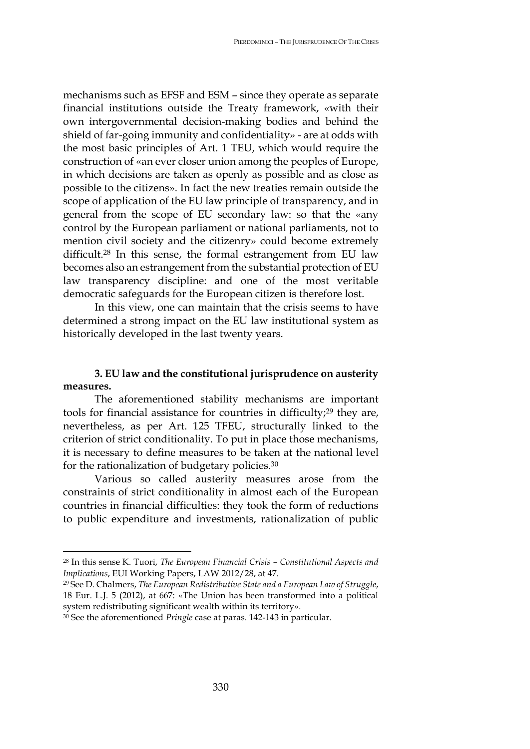mechanisms such as EFSF and ESM – since they operate as separate financial institutions outside the Treaty framework, «with their own intergovernmental decision-making bodies and behind the shield of far-going immunity and confidentiality» - are at odds with the most basic principles of Art. 1 TEU, which would require the construction of «an ever closer union among the peoples of Europe, in which decisions are taken as openly as possible and as close as possible to the citizens». In fact the new treaties remain outside the scope of application of the EU law principle of transparency, and in general from the scope of EU secondary law: so that the «any control by the European parliament or national parliaments, not to mention civil society and the citizenry» could become extremely difficult.<sup>28</sup> In this sense, the formal estrangement from EU law becomes also an estrangement from the substantial protection of EU law transparency discipline: and one of the most veritable democratic safeguards for the European citizen is therefore lost.

In this view, one can maintain that the crisis seems to have determined a strong impact on the EU law institutional system as historically developed in the last twenty years.

# **3. EU law and the constitutional jurisprudence on austerity measures.**

The aforementioned stability mechanisms are important tools for financial assistance for countries in difficulty;<sup>29</sup> they are, nevertheless, as per Art. 125 TFEU, structurally linked to the criterion of strict conditionality. To put in place those mechanisms, it is necessary to define measures to be taken at the national level for the rationalization of budgetary policies.<sup>30</sup>

Various so called austerity measures arose from the constraints of strict conditionality in almost each of the European countries in financial difficulties: they took the form of reductions to public expenditure and investments, rationalization of public

<sup>28</sup> In this sense K. Tuori, *The European Financial Crisis – Constitutional Aspects and Implications*, EUI Working Papers, LAW 2012/28, at 47.

<sup>29</sup> See D. Chalmers, *The European Redistributive State and a European Law of Struggle*, 18 Eur. L.J. 5 (2012), at 667: «The Union has been transformed into a political system redistributing significant wealth within its territory».

<sup>30</sup> See the aforementioned *Pringle* case at paras. 142-143 in particular.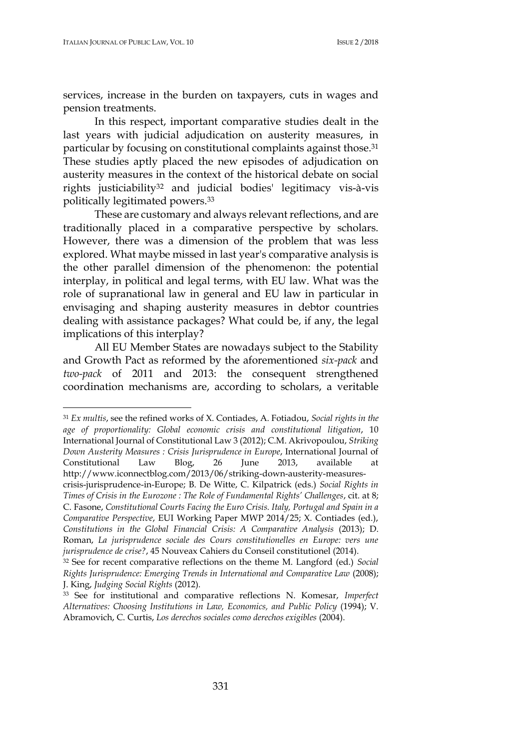services, increase in the burden on taxpayers, cuts in wages and pension treatments.

In this respect, important comparative studies dealt in the last years with judicial adjudication on austerity measures, in particular by focusing on constitutional complaints against those.<sup>31</sup> These studies aptly placed the new episodes of adjudication on austerity measures in the context of the historical debate on social rights justiciability<sup>32</sup> and judicial bodies' legitimacy vis-à-vis politically legitimated powers.<sup>33</sup>

These are customary and always relevant reflections, and are traditionally placed in a comparative perspective by scholars. However, there was a dimension of the problem that was less explored. What maybe missed in last year's comparative analysis is the other parallel dimension of the phenomenon: the potential interplay, in political and legal terms, with EU law. What was the role of supranational law in general and EU law in particular in envisaging and shaping austerity measures in debtor countries dealing with assistance packages? What could be, if any, the legal implications of this interplay?

All EU Member States are nowadays subject to the Stability and Growth Pact as reformed by the aforementioned *six-pack* and *two-pack* of 2011 and 2013: the consequent strengthened coordination mechanisms are, according to scholars, a veritable

<sup>31</sup> *Ex multis*, see the refined works of X. Contiades, A. Fotiadou, *Social rights in the age of proportionality: Global economic crisis and constitutional litigation*, 10 International Journal of Constitutional Law 3 (2012); C.M. Akrivopoulou, *Striking Down Austerity Measures : Crisis Jurisprudence in Europe*, International Journal of Constitutional Law Blog, 26 June 2013, available at [http://www.iconnectblog.com/2013/06/striking-down-austerity-measures](http://www.iconnectblog.com/2013/06/striking-down-austerity-measures-crisis-jurisprudence-in-Europe)[crisis-jurisprudence-in-Europe;](http://www.iconnectblog.com/2013/06/striking-down-austerity-measures-crisis-jurisprudence-in-Europe) B. De Witte, C. Kilpatrick (eds.) *Social Rights in Times of Crisis in the Eurozone : The Role of Fundamental Rights' Challenges*, cit. at 8; C. Fasone, *Constitutional Courts Facing the Euro Crisis. Italy, Portugal and Spain in a Comparative Perspective*, EUI Working Paper MWP 2014/25; X. Contiades (ed.), *Constitutions in the Global Financial Crisis: A Comparative Analysis* (2013); D. Roman, *La jurisprudence sociale des Cours constitutionelles en Europe: vers une* 

*jurisprudence de crise?*, 45 Nouveax Cahiers du Conseil constitutionel (2014). <sup>32</sup> See for recent comparative reflections on the theme M. Langford (ed.) *Social Rights Jurisprudence: Emerging Trends in International and Comparative Law* (2008); J. King, *Judging Social Rights* (2012).

<sup>33</sup> See for institutional and comparative reflections N. Komesar, *Imperfect Alternatives: Choosing Institutions in Law, Economics, and Public Policy* (1994); V. Abramovich, C. Curtis, *Los derechos sociales como derechos exigibles* (2004).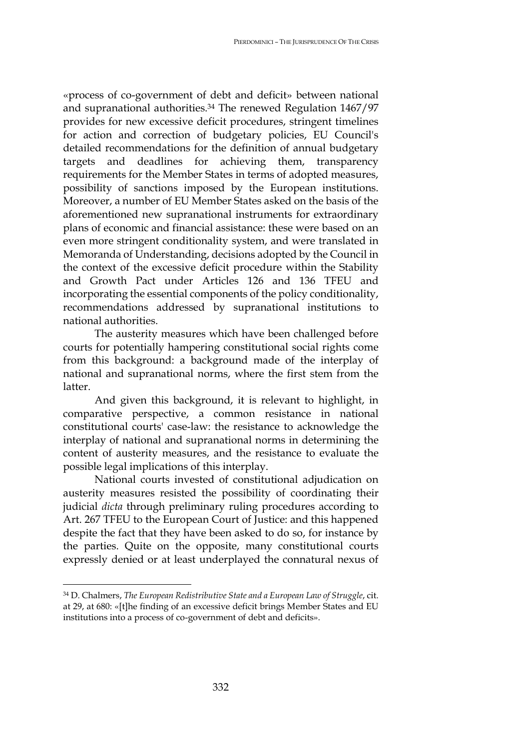«process of co-government of debt and deficit» between national and supranational authorities.<sup>34</sup> The renewed Regulation 1467/97 provides for new excessive deficit procedures, stringent timelines for action and correction of budgetary policies, EU Council's detailed recommendations for the definition of annual budgetary targets and deadlines for achieving them, transparency requirements for the Member States in terms of adopted measures, possibility of sanctions imposed by the European institutions. Moreover, a number of EU Member States asked on the basis of the aforementioned new supranational instruments for extraordinary plans of economic and financial assistance: these were based on an even more stringent conditionality system, and were translated in Memoranda of Understanding, decisions adopted by the Council in the context of the excessive deficit procedure within the Stability and Growth Pact under Articles 126 and 136 TFEU and incorporating the essential components of the policy conditionality, recommendations addressed by supranational institutions to national authorities.

The austerity measures which have been challenged before courts for potentially hampering constitutional social rights come from this background: a background made of the interplay of national and supranational norms, where the first stem from the latter.

And given this background, it is relevant to highlight, in comparative perspective, a common resistance in national constitutional courts' case-law: the resistance to acknowledge the interplay of national and supranational norms in determining the content of austerity measures, and the resistance to evaluate the possible legal implications of this interplay.

National courts invested of constitutional adjudication on austerity measures resisted the possibility of coordinating their judicial *dicta* through preliminary ruling procedures according to Art. 267 TFEU to the European Court of Justice: and this happened despite the fact that they have been asked to do so, for instance by the parties. Quite on the opposite, many constitutional courts expressly denied or at least underplayed the connatural nexus of

<sup>34</sup> D. Chalmers, *The European Redistributive State and a European Law of Struggle*, cit. at 29, at 680: «[t]he finding of an excessive deficit brings Member States and EU institutions into a process of co-government of debt and deficits».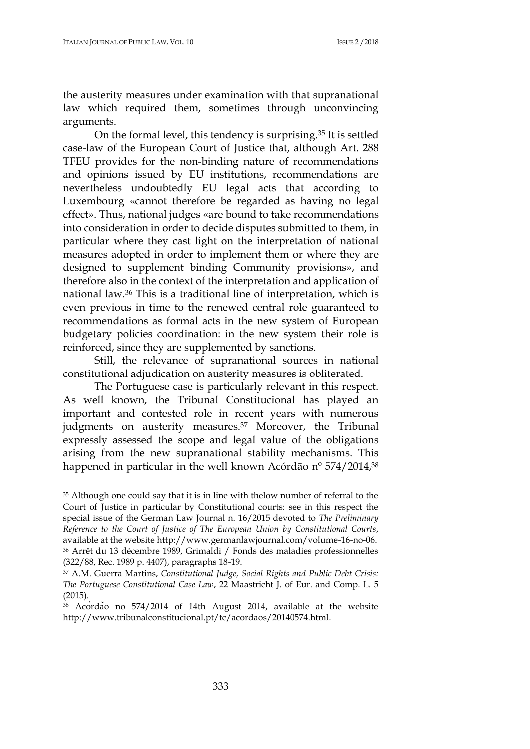the austerity measures under examination with that supranational law which required them, sometimes through unconvincing arguments.

On the formal level, this tendency is surprising.<sup>35</sup> It is settled case-law of the European Court of Justice that, although Art. 288 TFEU provides for the non-binding nature of recommendations and opinions issued by EU institutions, recommendations are nevertheless undoubtedly EU legal acts that according to Luxembourg «cannot therefore be regarded as having no legal effect». Thus, national judges «are bound to take recommendations into consideration in order to decide disputes submitted to them, in particular where they cast light on the interpretation of national measures adopted in order to implement them or where they are designed to supplement binding Community provisions», and therefore also in the context of the interpretation and application of national law.<sup>36</sup> This is a traditional line of interpretation, which is even previous in time to the renewed central role guaranteed to recommendations as formal acts in the new system of European budgetary policies coordination: in the new system their role is reinforced, since they are supplemented by sanctions.

Still, the relevance of supranational sources in national constitutional adjudication on austerity measures is obliterated.

The Portuguese case is particularly relevant in this respect. As well known, the Tribunal Constitucional has played an important and contested role in recent years with numerous judgments on austerity measures.<sup>37</sup> Moreover, the Tribunal expressly assessed the scope and legal value of the obligations arising from the new supranational stability mechanisms. This happened in particular in the well known Acórdão nº 574/2014,<sup>38</sup>

<sup>35</sup> Although one could say that it is in line with thelow number of referral to the Court of Justice in particular by Constitutional courts: see in this respect the special issue of the German Law Journal n. 16/2015 devoted to *The Preliminary Reference to the Court of Justice of The European Union by Constitutional Courts*, available at the website http://www.germanlawjournal.com/volume-16-no-06. <sup>36</sup> Arrêt du 13 décembre 1989, Grimaldi / Fonds des maladies professionnelles (322/88, Rec. 1989 p. 4407), paragraphs 18-19.

<sup>37</sup> A.M. Guerra Martins, *Constitutional Judge, Social Rights and Public Debt Crisis: The Portuguese Constitutional Case Law*, 22 Maastricht J. of Eur. and Comp. L. 5 (2015).

<sup>38</sup> Acórdão no 574/2014 of 14th August 2014, available at the website [http://www.tribunalconstitucional.pt/tc/acordaos/20140574.html.](http://www.tribunalconstitucional.pt/tc/acordaos/20140574.html#_blank)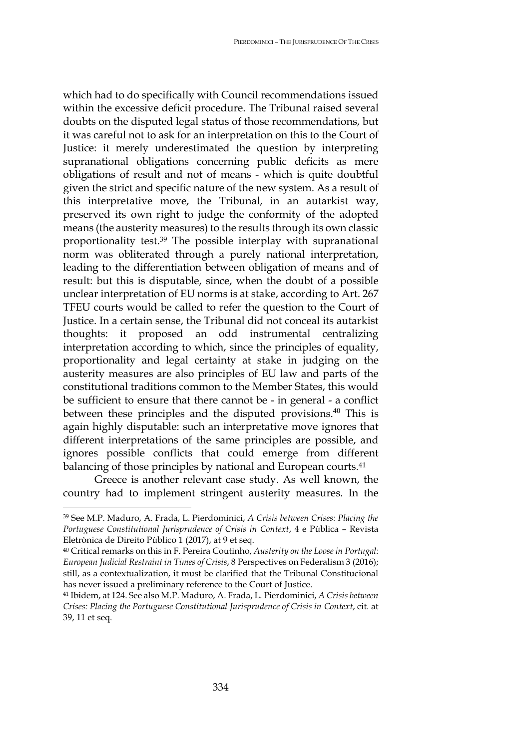which had to do specifically with Council recommendations issued within the excessive deficit procedure. The Tribunal raised several doubts on the disputed legal status of those recommendations, but it was careful not to ask for an interpretation on this to the Court of Justice: it merely underestimated the question by interpreting supranational obligations concerning public deficits as mere obligations of result and not of means - which is quite doubtful given the strict and specific nature of the new system. As a result of this interpretative move, the Tribunal, in an autarkist way, preserved its own right to judge the conformity of the adopted means (the austerity measures) to the results through its own classic proportionality test.<sup>39</sup> The possible interplay with supranational norm was obliterated through a purely national interpretation, leading to the differentiation between obligation of means and of result: but this is disputable, since, when the doubt of a possible unclear interpretation of EU norms is at stake, according to Art. 267 TFEU courts would be called to refer the question to the Court of Justice. In a certain sense, the Tribunal did not conceal its autarkist thoughts: it proposed an odd instrumental centralizing interpretation according to which, since the principles of equality, proportionality and legal certainty at stake in judging on the austerity measures are also principles of EU law and parts of the constitutional traditions common to the Member States, this would be sufficient to ensure that there cannot be - in general - a conflict between these principles and the disputed provisions.<sup>40</sup> This is again highly disputable: such an interpretative move ignores that different interpretations of the same principles are possible, and ignores possible conflicts that could emerge from different balancing of those principles by national and European courts.<sup>41</sup>

Greece is another relevant case study. As well known, the country had to implement stringent austerity measures. In the

<sup>39</sup> See M.P. Maduro, A. Frada, L. Pierdominici, *A Crisis between Crises: Placing the Portuguese Constitutional Jurisprudence of Crisis in Context*, 4 e Pùblica – Revista Eletrònica de Direito Pùblico 1 (2017), at 9 et seq.

<sup>40</sup> Critical remarks on this in F. Pereira Coutinho, *Austerity on the Loose in Portugal: European Judicial Restraint in Times of Crisis*, 8 Perspectives on Federalism 3 (2016); still, as a contextualization, it must be clarified that the Tribunal Constitucional has never issued a preliminary reference to the Court of Justice.

<sup>41</sup> Ibidem, at 124. See also M.P. Maduro, A. Frada, L. Pierdominici, *A Crisis between Crises: Placing the Portuguese Constitutional Jurisprudence of Crisis in Context*, cit. at 39, 11 et seq.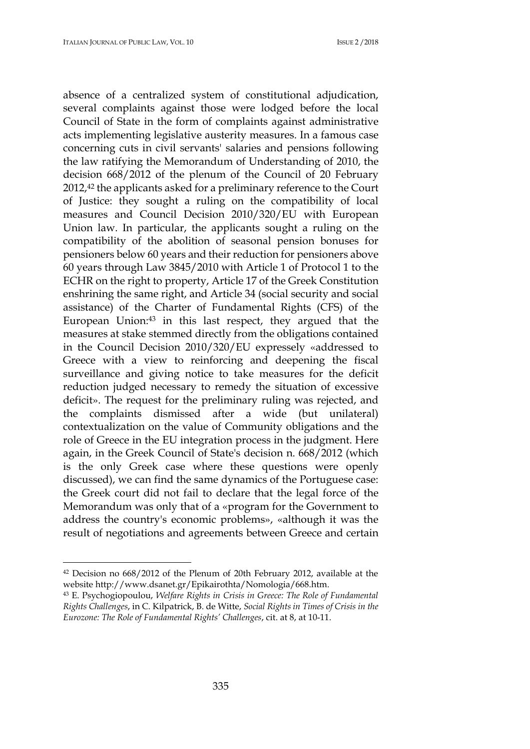absence of a centralized system of constitutional adjudication, several complaints against those were lodged before the local Council of State in the form of complaints against administrative acts implementing legislative austerity measures. In a famous case concerning cuts in civil servants' salaries and pensions following the law ratifying the Memorandum of Understanding of 2010, the decision 668/2012 of the plenum of the Council of 20 February 2012,<sup>42</sup> the applicants asked for a preliminary reference to the Court of Justice: they sought a ruling on the compatibility of local measures and Council Decision 2010/320/EU with European Union law. In particular, the applicants sought a ruling on the compatibility of the abolition of seasonal pension bonuses for pensioners below 60 years and their reduction for pensioners above 60 years through Law 3845/2010 with Article 1 of Protocol 1 to the ECHR on the right to property, Article 17 of the Greek Constitution enshrining the same right, and Article 34 (social security and social assistance) of the Charter of Fundamental Rights (CFS) of the European Union:<sup>43</sup> in this last respect, they argued that the measures at stake stemmed directly from the obligations contained in the Council Decision 2010/320/EU expressely «addressed to Greece with a view to reinforcing and deepening the fiscal surveillance and giving notice to take measures for the deficit reduction judged necessary to remedy the situation of excessive deficit». The request for the preliminary ruling was rejected, and the complaints dismissed after a wide (but unilateral) contextualization on the value of Community obligations and the role of Greece in the EU integration process in the judgment. Here again, in the Greek Council of State's decision n. 668/2012 (which is the only Greek case where these questions were openly discussed), we can find the same dynamics of the Portuguese case: the Greek court did not fail to declare that the legal force of the Memorandum was only that of a «program for the Government to address the country's economic problems», «although it was the result of negotiations and agreements between Greece and certain

<sup>42</sup> Decision no 668/2012 of the Plenum of 20th February 2012, available at the website [http://www.dsanet.gr/Epikairothta/Nomologia/668.htm.](http://www.dsanet.gr/Epikairothta/Nomologia/668.htm#_blank)

<sup>43</sup> E. Psychogiopoulou, *Welfare Rights in Crisis in Greece: The Role of Fundamental Rights Challenges*, in C. Kilpatrick, B. de Witte, *Social Rights in Times of Crisis in the Eurozone: The Role of Fundamental Rights' Challenges*, cit. at 8, at 10-11.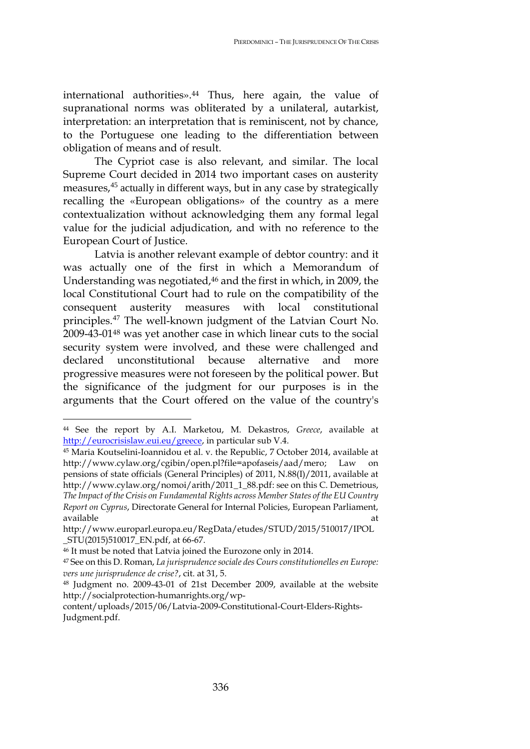international authorities».<sup>44</sup> Thus, here again, the value of supranational norms was obliterated by a unilateral, autarkist, interpretation: an interpretation that is reminiscent, not by chance, to the Portuguese one leading to the differentiation between obligation of means and of result.

The Cypriot case is also relevant, and similar. The local Supreme Court decided in 2014 two important cases on austerity measures,<sup>45</sup> actually in different ways, but in any case by strategically recalling the «European obligations» of the country as a mere contextualization without acknowledging them any formal legal value for the judicial adjudication, and with no reference to the European Court of Justice.

Latvia is another relevant example of debtor country: and it was actually one of the first in which a Memorandum of Understanding was negotiated,<sup>46</sup> and the first in which, in 2009, the local Constitutional Court had to rule on the compatibility of the consequent austerity measures with local constitutional principles.<sup>47</sup> The well-known judgment of the Latvian Court No. 2009-43-01<sup>48</sup> was yet another case in which linear cuts to the social security system were involved, and these were challenged and declared unconstitutional because alternative and more progressive measures were not foreseen by the political power. But the significance of the judgment for our purposes is in the arguments that the Court offered on the value of the country's

<sup>44</sup> See the report by A.I. Marketou, M. Dekastros, *Greece*, available at [http://eurocrisislaw.eui.eu/greece,](http://eurocrisislaw.eui.eu/greece) in particular sub V.4.

<sup>45</sup> Maria Koutselini-Ioannidou et al. v. the Republic, 7 October 2014, available at [http://www.cylaw.org/cgibin/open.pl?file=apofaseis/aad/mero;](http://www.cylaw.org/cgibin/open.pl?file=apofaseis/aad/mero) Law on pensions of state officials (General Principles) of 2011, N.88(I)/2011, available at [http://www.cylaw.org/nomoi/arith/2011\\_1\\_88.pdf:](http://www.cylaw.org/nomoi/arith/2011_1_88.pdf) see on this C. Demetrious, *The Impact of the Crisis on Fundamental Rights across Member States of the EU Country Report on Cyprus*, Directorate General for Internal Policies, European Parliament, available at the contract of the contract of the contract of the contract of the contract of the contract of t

[http://www.europarl.europa.eu/RegData/etudes/STUD/2015/510017/IPOL](http://www.europarl.europa.eu/RegData/etudes/STUD/2015/510017/IPOL_STU(2015)510017_EN.pdf) [\\_STU\(2015\)510017\\_EN.pdf,](http://www.europarl.europa.eu/RegData/etudes/STUD/2015/510017/IPOL_STU(2015)510017_EN.pdf) at 66-67.

<sup>46</sup> It must be noted that Latvia joined the Eurozone only in 2014.

<sup>47</sup> See on this D. Roman, *La jurisprudence sociale des Cours constitutionelles en Europe: vers une jurisprudence de crise?*, cit. at 31, 5.

<sup>48</sup> Judgment no. 2009-43-01 of 21st December 2009, available at the website [http://socialprotection-humanrights.org/wp-](http://socialprotection-humanrights.org/wp-content/uploads/2015/06/Latvia-2009-Constitutional-Court-Elders-Rights-Judgment.pdf#_blank)

[content/uploads/2015/06/Latvia-2009-Constitutional-Court-Elders-Rights-](http://socialprotection-humanrights.org/wp-content/uploads/2015/06/Latvia-2009-Constitutional-Court-Elders-Rights-Judgment.pdf#_blank)[Judgment.pdf.](http://socialprotection-humanrights.org/wp-content/uploads/2015/06/Latvia-2009-Constitutional-Court-Elders-Rights-Judgment.pdf#_blank)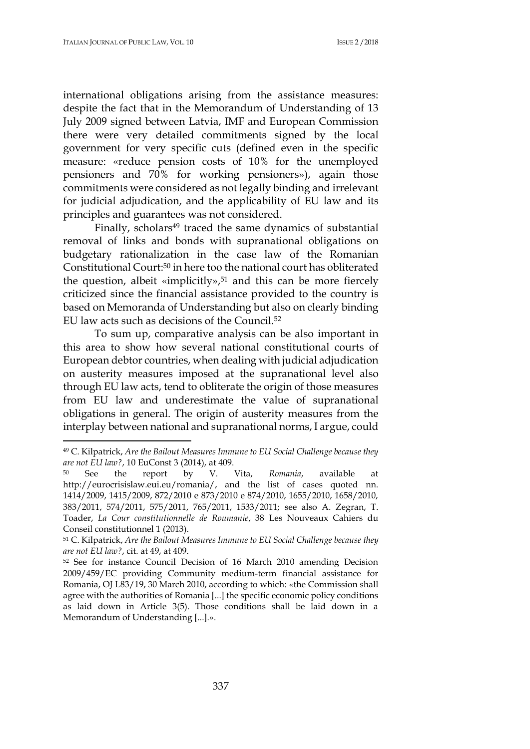international obligations arising from the assistance measures: despite the fact that in the Memorandum of Understanding of 13 July 2009 signed between Latvia, IMF and European Commission there were very detailed commitments signed by the local government for very specific cuts (defined even in the specific measure: «reduce pension costs of 10% for the unemployed pensioners and 70% for working pensioners»), again those commitments were considered as not legally binding and irrelevant for judicial adjudication, and the applicability of EU law and its principles and guarantees was not considered.

Finally, scholars<sup>49</sup> traced the same dynamics of substantial removal of links and bonds with supranational obligations on budgetary rationalization in the case law of the Romanian Constitutional Court:<sup>50</sup> in here too the national court has obliterated the question, albeit «implicitly», $51$  and this can be more fiercely criticized since the financial assistance provided to the country is based on Memoranda of Understanding but also on clearly binding EU law acts such as decisions of the Council.<sup>52</sup>

To sum up, comparative analysis can be also important in this area to show how several national constitutional courts of European debtor countries, when dealing with judicial adjudication on austerity measures imposed at the supranational level also through EU law acts, tend to obliterate the origin of those measures from EU law and underestimate the value of supranational obligations in general. The origin of austerity measures from the interplay between national and supranational norms, I argue, could

<sup>49</sup> C. Kilpatrick, *Are the Bailout Measures Immune to EU Social Challenge because they are not EU law?*, 10 EuConst 3 (2014), at 409.

<sup>50</sup> See the report by V. Vita, *Romania*, available at [http://eurocrisislaw.eui.eu/romania/,](http://eurocrisislaw.eui.eu/romania/) and the list of cases quoted nn. 1414/2009, 1415/2009, 872/2010 e 873/2010 e 874/2010, 1655/2010, 1658/2010, 383/2011, 574/2011, 575/2011, 765/2011, 1533/2011; see also A. Zegran, T. Toader, *La Cour constitutionnelle de Roumanie*, 38 Les Nouveaux Cahiers du Conseil constitutionnel 1 (2013).

<sup>51</sup> C. Kilpatrick, *Are the Bailout Measures Immune to EU Social Challenge because they are not EU law?*, cit. at 49, at 409.

<sup>52</sup> See for instance Council Decision of 16 March 2010 amending Decision 2009/459/EC providing Community medium-term financial assistance for Romania, OJ L83/19, 30 March 2010, according to which: «the Commission shall agree with the authorities of Romania [...] the specific economic policy conditions as laid down in Article 3(5). Those conditions shall be laid down in a Memorandum of Understanding [...].».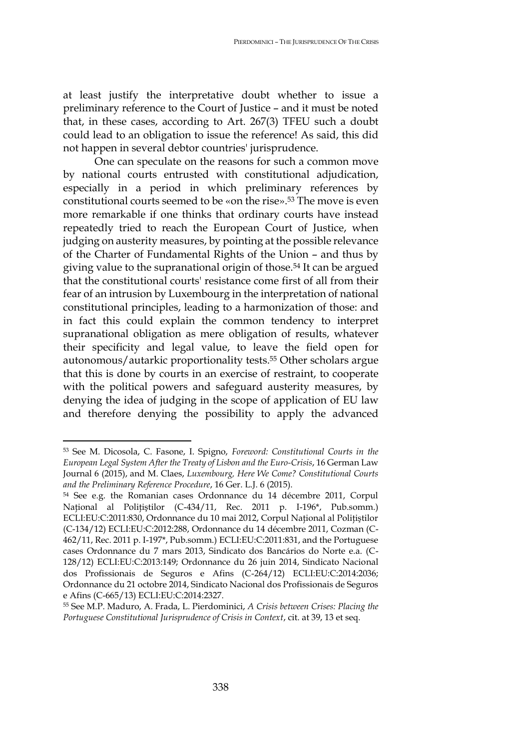at least justify the interpretative doubt whether to issue a preliminary reference to the Court of Justice – and it must be noted that, in these cases, according to Art. 267(3) TFEU such a doubt could lead to an obligation to issue the reference! As said, this did not happen in several debtor countries' jurisprudence.

One can speculate on the reasons for such a common move by national courts entrusted with constitutional adjudication, especially in a period in which preliminary references by constitutional courts seemed to be «on the rise».<sup>53</sup> The move is even more remarkable if one thinks that ordinary courts have instead repeatedly tried to reach the European Court of Justice, when judging on austerity measures, by pointing at the possible relevance of the Charter of Fundamental Rights of the Union – and thus by giving value to the supranational origin of those.<sup>54</sup> It can be argued that the constitutional courts' resistance come first of all from their fear of an intrusion by Luxembourg in the interpretation of national constitutional principles, leading to a harmonization of those: and in fact this could explain the common tendency to interpret supranational obligation as mere obligation of results, whatever their specificity and legal value, to leave the field open for autonomous/autarkic proportionality tests.<sup>55</sup> Other scholars argue that this is done by courts in an exercise of restraint, to cooperate with the political powers and safeguard austerity measures, by denying the idea of judging in the scope of application of EU law and therefore denying the possibility to apply the advanced

<sup>53</sup> See M. Dicosola, C. Fasone, I. Spigno, *Foreword: Constitutional Courts in the European Legal System After the Treaty of Lisbon and the Euro-Crisis*, 16 German Law Journal 6 (2015), and M. Claes, *Luxembourg, Here We Come? Constitutional Courts and the Preliminary Reference Procedure*, 16 Ger. L.J. 6 (2015).

<sup>54</sup> See e.g. the Romanian cases Ordonnance du 14 décembre 2011, Corpul Național al Polițiștilor (C-434/11, Rec. 2011 p. I-196\*, Pub.somm.) ECLI:EU:C:2011:830, Ordonnance du 10 mai 2012, Corpul Naţional al Poliţiştilor (C-134/12) ECLI:EU:C:2012:288, Ordonnance du 14 décembre 2011, Cozman (C-462/11, Rec. 2011 p. I-197\*, Pub.somm.) ECLI:EU:C:2011:831, and the Portuguese cases Ordonnance du 7 mars 2013, Sindicato dos Bancários do Norte e.a. (C-128/12) ECLI:EU:C:2013:149; Ordonnance du 26 juin 2014, Sindicato Nacional dos Profissionais de Seguros e Afins (C-264/12) ECLI:EU:C:2014:2036; Ordonnance du 21 octobre 2014, Sindicato Nacional dos Profissionais de Seguros e Afins (C-665/13) ECLI:EU:C:2014:2327.

<sup>55</sup> See M.P. Maduro, A. Frada, L. Pierdominici, *A Crisis between Crises: Placing the Portuguese Constitutional Jurisprudence of Crisis in Context*, cit. at 39, 13 et seq.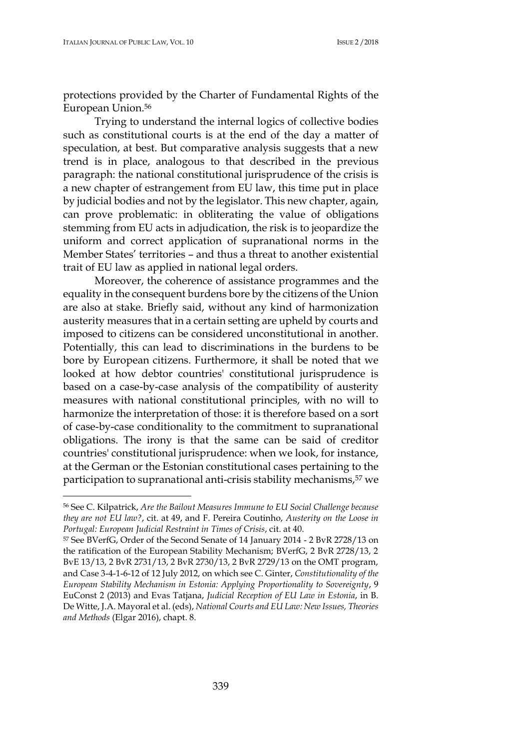protections provided by the Charter of Fundamental Rights of the European Union.<sup>56</sup>

Trying to understand the internal logics of collective bodies such as constitutional courts is at the end of the day a matter of speculation, at best. But comparative analysis suggests that a new trend is in place, analogous to that described in the previous paragraph: the national constitutional jurisprudence of the crisis is a new chapter of estrangement from EU law, this time put in place by judicial bodies and not by the legislator. This new chapter, again, can prove problematic: in obliterating the value of obligations stemming from EU acts in adjudication, the risk is to jeopardize the uniform and correct application of supranational norms in the Member States' territories – and thus a threat to another existential trait of EU law as applied in national legal orders.

Moreover, the coherence of assistance programmes and the equality in the consequent burdens bore by the citizens of the Union are also at stake. Briefly said, without any kind of harmonization austerity measures that in a certain setting are upheld by courts and imposed to citizens can be considered unconstitutional in another. Potentially, this can lead to discriminations in the burdens to be bore by European citizens. Furthermore, it shall be noted that we looked at how debtor countries' constitutional jurisprudence is based on a case-by-case analysis of the compatibility of austerity measures with national constitutional principles, with no will to harmonize the interpretation of those: it is therefore based on a sort of case-by-case conditionality to the commitment to supranational obligations. The irony is that the same can be said of creditor countries' constitutional jurisprudence: when we look, for instance, at the German or the Estonian constitutional cases pertaining to the participation to supranational anti-crisis stability mechanisms,<sup>57</sup> we

<sup>56</sup> See C. Kilpatrick, *Are the Bailout Measures Immune to EU Social Challenge because they are not EU law?*, cit. at 49, and F. Pereira Coutinho, *Austerity on the Loose in Portugal: European Judicial Restraint in Times of Crisis*, cit. at 40.

<sup>57</sup> See BVerfG, Order of the Second Senate of 14 January 2014 - 2 BvR 2728/13 on the ratification of the European Stability Mechanism; BVerfG, 2 BvR 2728/13, 2 BvE 13/13, 2 BvR 2731/13, 2 BvR 2730/13, 2 BvR 2729/13 on the OMT program, and Case 3-4-1-6-12 of 12 July 2012, on which see C. Ginter, *Constitutionality of the European Stability Mechanism in Estonia: Applying Proportionality to Sovereignty*, 9 EuConst 2 (2013) and Evas Tatjana, *Judicial Reception of EU Law in Estonia*, in B. De Witte, J.A. Mayoral et al. (eds), *National Courts and EU Law: New Issues, Theories and Methods* (Elgar 2016), chapt. 8.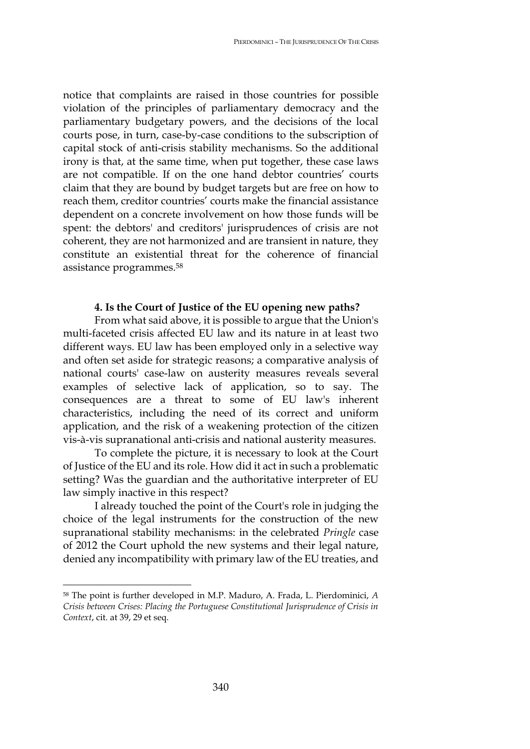notice that complaints are raised in those countries for possible violation of the principles of parliamentary democracy and the parliamentary budgetary powers, and the decisions of the local courts pose, in turn, case-by-case conditions to the subscription of capital stock of anti-crisis stability mechanisms. So the additional irony is that, at the same time, when put together, these case laws are not compatible. If on the one hand debtor countries' courts claim that they are bound by budget targets but are free on how to reach them, creditor countries' courts make the financial assistance dependent on a concrete involvement on how those funds will be spent: the debtors' and creditors' jurisprudences of crisis are not coherent, they are not harmonized and are transient in nature, they constitute an existential threat for the coherence of financial assistance programmes.<sup>58</sup>

# **4. Is the Court of Justice of the EU opening new paths?**

From what said above, it is possible to argue that the Union's multi-faceted crisis affected EU law and its nature in at least two different ways. EU law has been employed only in a selective way and often set aside for strategic reasons; a comparative analysis of national courts' case-law on austerity measures reveals several examples of selective lack of application, so to say. The consequences are a threat to some of EU law's inherent characteristics, including the need of its correct and uniform application, and the risk of a weakening protection of the citizen vis-à-vis supranational anti-crisis and national austerity measures.

To complete the picture, it is necessary to look at the Court of Justice of the EU and its role. How did it act in such a problematic setting? Was the guardian and the authoritative interpreter of EU law simply inactive in this respect?

I already touched the point of the Court's role in judging the choice of the legal instruments for the construction of the new supranational stability mechanisms: in the celebrated *Pringle* case of 2012 the Court uphold the new systems and their legal nature, denied any incompatibility with primary law of the EU treaties, and

<sup>58</sup> The point is further developed in M.P. Maduro, A. Frada, L. Pierdominici, *A Crisis between Crises: Placing the Portuguese Constitutional Jurisprudence of Crisis in Context*, cit. at 39, 29 et seq.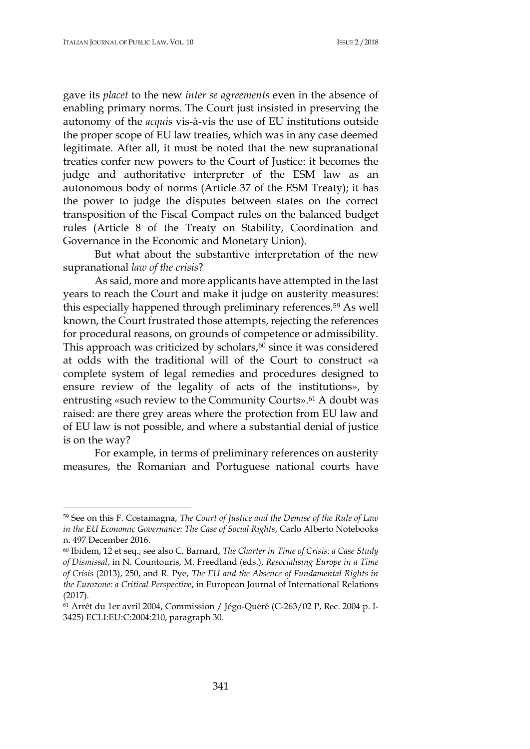gave its *placet* to the new *inter se agreements* even in the absence of enabling primary norms. The Court just insisted in preserving the autonomy of the *acquis* vis-à-vis the use of EU institutions outside the proper scope of EU law treaties, which was in any case deemed legitimate. After all, it must be noted that the new supranational treaties confer new powers to the Court of Justice: it becomes the judge and authoritative interpreter of the ESM law as an autonomous body of norms (Article 37 of the ESM Treaty); it has the power to judge the disputes between states on the correct transposition of the Fiscal Compact rules on the balanced budget rules (Article 8 of the Treaty on Stability, Coordination and Governance in the Economic and Monetary Union).

But what about the substantive interpretation of the new supranational *law of the crisis*?

As said, more and more applicants have attempted in the last years to reach the Court and make it judge on austerity measures: this especially happened through preliminary references.<sup>59</sup> As well known, the Court frustrated those attempts, rejecting the references for procedural reasons, on grounds of competence or admissibility. This approach was criticized by scholars,<sup>60</sup> since it was considered at odds with the traditional will of the Court to construct «a complete system of legal remedies and procedures designed to ensure review of the legality of acts of the institutions», by entrusting «such review to the Community Courts».<sup>61</sup> A doubt was raised: are there grey areas where the protection from EU law and of EU law is not possible, and where a substantial denial of justice is on the way?

For example, in terms of preliminary references on austerity measures, the Romanian and Portuguese national courts have

<sup>59</sup> See on this F. Costamagna, *The Court of Justice and the Demise of the Rule of Law in the EU Economic Governance: The Case of Social Rights*, Carlo Alberto Notebooks n. 497 December 2016.

<sup>60</sup> Ibidem, 12 et seq.; see also C. Barnard, *The Charter in Time of Crisis: a Case Study of Dismissal*, in N. Countouris, M. Freedland (eds.), *Resocialising Europe in a Time of Crisis* (2013), 250, and R. Pye, *The EU and the Absence of Fundamental Rights in the Eurozone: a Critical Perspective*, in European Journal of International Relations (2017).

<sup>61</sup> Arrêt du 1er avril 2004, Commission / Jégo-Quéré (C-263/02 P, Rec. 2004 p. I-3425) ECLI:EU:C:2004:210, paragraph 30.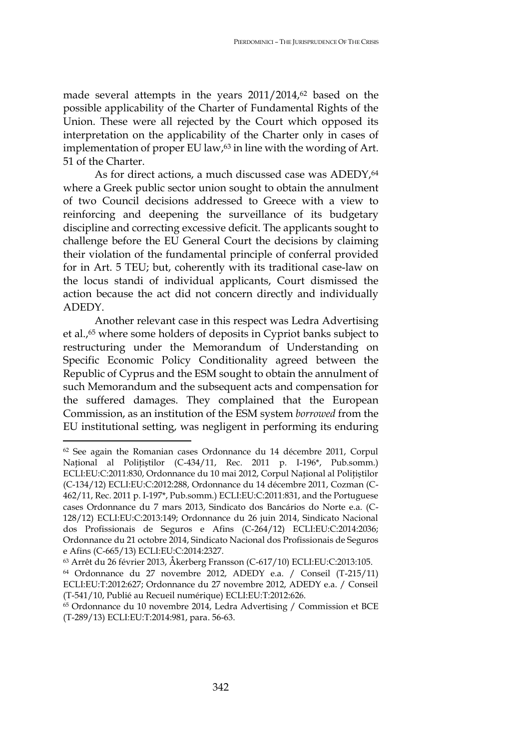made several attempts in the years 2011/2014,<sup>62</sup> based on the possible applicability of the Charter of Fundamental Rights of the Union. These were all rejected by the Court which opposed its interpretation on the applicability of the Charter only in cases of implementation of proper EU law,<sup>63</sup> in line with the wording of Art. 51 of the Charter.

As for direct actions, a much discussed case was ADEDY, 64 where a Greek public sector union sought to obtain the annulment of two Council decisions addressed to Greece with a view to reinforcing and deepening the surveillance of its budgetary discipline and correcting excessive deficit. The applicants sought to challenge before the EU General Court the decisions by claiming their violation of the fundamental principle of conferral provided for in Art. 5 TEU; but, coherently with its traditional case-law on the locus standi of individual applicants, Court dismissed the action because the act did not concern directly and individually ADEDY.

Another relevant case in this respect was Ledra Advertising et al.,<sup>65</sup> where some holders of deposits in Cypriot banks subject to restructuring under the Memorandum of Understanding on Specific Economic Policy Conditionality agreed between the Republic of Cyprus and the ESM sought to obtain the annulment of such Memorandum and the subsequent acts and compensation for the suffered damages. They complained that the European Commission, as an institution of the ESM system *borrowed* from the EU institutional setting, was negligent in performing its enduring

<sup>62</sup> See again the Romanian cases Ordonnance du 14 décembre 2011, Corpul Național al Polițiștilor (C-434/11, Rec. 2011 p. I-196<sup>\*</sup>, Pub.somm.) ECLI:EU:C:2011:830, Ordonnance du 10 mai 2012, Corpul National al Politistilor (C-134/12) ECLI:EU:C:2012:288, Ordonnance du 14 décembre 2011, Cozman (C-462/11, Rec. 2011 p. I-197\*, Pub.somm.) ECLI:EU:C:2011:831, and the Portuguese cases Ordonnance du 7 mars 2013, Sindicato dos Bancários do Norte e.a. (C-128/12) ECLI:EU:C:2013:149; Ordonnance du 26 juin 2014, Sindicato Nacional dos Profissionais de Seguros e Afins (C-264/12) ECLI:EU:C:2014:2036; Ordonnance du 21 octobre 2014, Sindicato Nacional dos Profissionais de Seguros e Afins (C-665/13) ECLI:EU:C:2014:2327.

<sup>63</sup> Arrêt du 26 février 2013, Åkerberg Fransson (C-617/10) ECLI:EU:C:2013:105.

<sup>64</sup> Ordonnance du 27 novembre 2012, ADEDY e.a. / Conseil (T-215/11) ECLI:EU:T:2012:627; Ordonnance du 27 novembre 2012, ADEDY e.a. / Conseil (T-541/10, Publié au Recueil numérique) ECLI:EU:T:2012:626.

<sup>65</sup> Ordonnance du 10 novembre 2014, Ledra Advertising / Commission et BCE (T-289/13) ECLI:EU:T:2014:981, para. 56-63.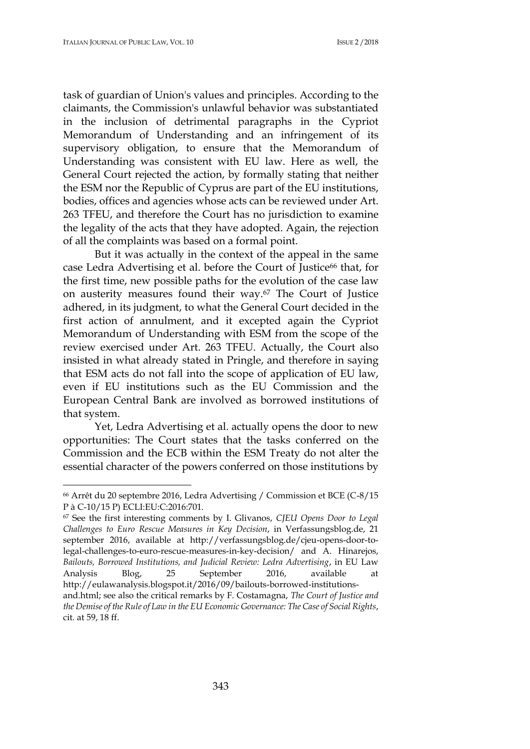task of guardian of Union's values and principles. According to the claimants, the Commission's unlawful behavior was substantiated in the inclusion of detrimental paragraphs in the Cypriot Memorandum of Understanding and an infringement of its supervisory obligation, to ensure that the Memorandum of Understanding was consistent with EU law. Here as well, the General Court rejected the action, by formally stating that neither the ESM nor the Republic of Cyprus are part of the EU institutions, bodies, offices and agencies whose acts can be reviewed under Art. 263 TFEU, and therefore the Court has no jurisdiction to examine the legality of the acts that they have adopted. Again, the rejection of all the complaints was based on a formal point.

But it was actually in the context of the appeal in the same case Ledra Advertising et al. before the Court of Justice<sup>66</sup> that, for the first time, new possible paths for the evolution of the case law on austerity measures found their way.<sup>67</sup> The Court of Justice adhered, in its judgment, to what the General Court decided in the first action of annulment, and it excepted again the Cypriot Memorandum of Understanding with ESM from the scope of the review exercised under Art. 263 TFEU. Actually, the Court also insisted in what already stated in Pringle, and therefore in saying that ESM acts do not fall into the scope of application of EU law, even if EU institutions such as the EU Commission and the European Central Bank are involved as borrowed institutions of that system.

Yet, Ledra Advertising et al. actually opens the door to new opportunities: The Court states that the tasks conferred on the Commission and the ECB within the ESM Treaty do not alter the essential character of the powers conferred on those institutions by

<sup>66</sup> Arrêt du 20 septembre 2016, Ledra Advertising / Commission et BCE (C-8/15 P à C-10/15 P) ECLI:EU:C:2016:701.

<sup>67</sup> See the first interesting comments by I. Glivanos, *CJEU Opens Door to Legal Challenges to Euro Rescue Measures in Key Decision*, in Verfassungsblog.de, 21 september 2016, available at [http://verfassungsblog.de/cjeu-opens-door-to](http://verfassungsblog.de/cjeu-opens-door-to-legal-challenges-to-euro-rescue-measures-in-key-decision/)[legal-challenges-to-euro-rescue-measures-in-key-decision/](http://verfassungsblog.de/cjeu-opens-door-to-legal-challenges-to-euro-rescue-measures-in-key-decision/) and A. Hinarejos, *Bailouts, Borrowed Institutions, and Judicial Review: Ledra Advertising*, in EU Law Analysis Blog, 25 September 2016, available at [http://eulawanalysis.blogspot.it/2016/09/bailouts-borrowed-institutions](http://eulawanalysis.blogspot.it/2016/09/bailouts-borrowed-institutions-and.html)[and.html;](http://eulawanalysis.blogspot.it/2016/09/bailouts-borrowed-institutions-and.html) see also the critical remarks by F. Costamagna, *The Court of Justice and* 

*the Demise of the Rule of Law in the EU Economic Governance: The Case of Social Rights*, cit. at 59, 18 ff.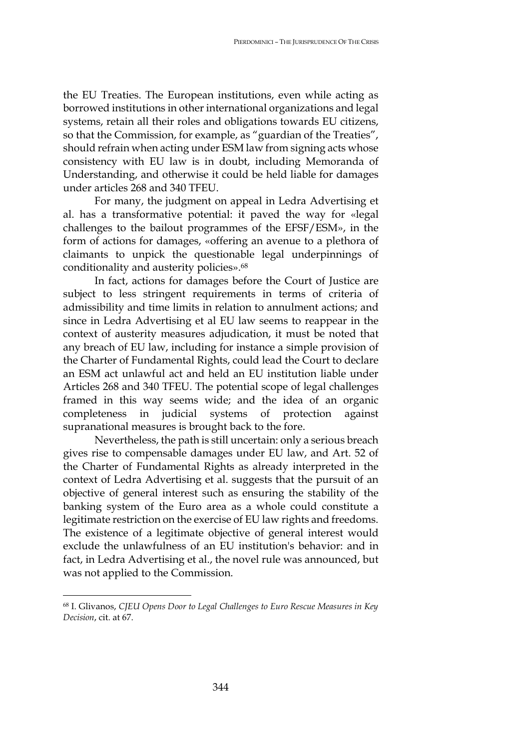the EU Treaties. The European institutions, even while acting as borrowed institutions in other international organizations and legal systems, retain all their roles and obligations towards EU citizens, so that the Commission, for example, as "guardian of the Treaties", should refrain when acting under ESM law from signing acts whose consistency with EU law is in doubt, including Memoranda of Understanding, and otherwise it could be held liable for damages under articles 268 and 340 TFEU.

For many, the judgment on appeal in Ledra Advertising et al. has a transformative potential: it paved the way for «legal challenges to the bailout programmes of the EFSF/ESM», in the form of actions for damages, «offering an avenue to a plethora of claimants to unpick the questionable legal underpinnings of conditionality and austerity policies».<sup>68</sup>

In fact, actions for damages before the Court of Justice are subject to less stringent requirements in terms of criteria of admissibility and time limits in relation to annulment actions; and since in Ledra Advertising et al EU law seems to reappear in the context of austerity measures adjudication, it must be noted that any breach of EU law, including for instance a simple provision of the Charter of Fundamental Rights, could lead the Court to declare an ESM act unlawful act and held an EU institution liable under Articles 268 and 340 TFEU. The potential scope of legal challenges framed in this way seems wide; and the idea of an organic completeness in judicial systems of protection against supranational measures is brought back to the fore.

Nevertheless, the path is still uncertain: only a serious breach gives rise to compensable damages under EU law, and Art. 52 of the Charter of Fundamental Rights as already interpreted in the context of Ledra Advertising et al. suggests that the pursuit of an objective of general interest such as ensuring the stability of the banking system of the Euro area as a whole could constitute a legitimate restriction on the exercise of EU law rights and freedoms. The existence of a legitimate objective of general interest would exclude the unlawfulness of an EU institution's behavior: and in fact, in Ledra Advertising et al., the novel rule was announced, but was not applied to the Commission.

<sup>68</sup> I. Glivanos, *CJEU Opens Door to Legal Challenges to Euro Rescue Measures in Key Decision*, cit. at 67.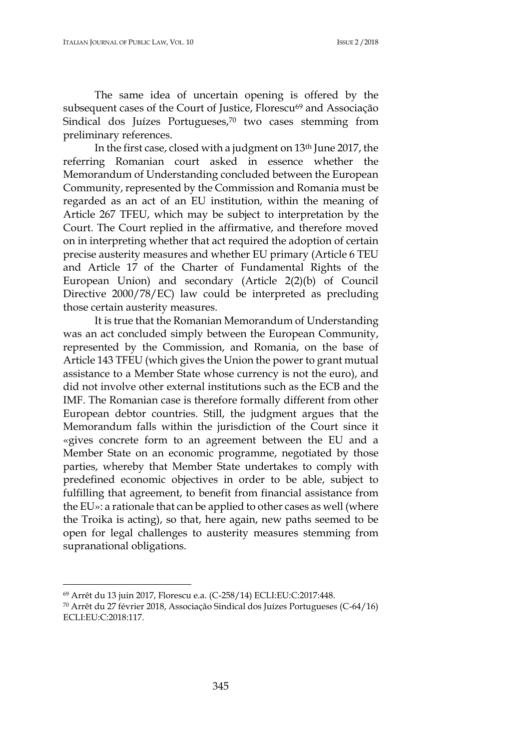The same idea of uncertain opening is offered by the subsequent cases of the Court of Justice, Florescu<sup>69</sup> and Associação Sindical dos Juízes Portugueses,<sup>70</sup> two cases stemming from preliminary references.

In the first case, closed with a judgment on 13th June 2017, the referring Romanian court asked in essence whether the Memorandum of Understanding concluded between the European Community, represented by the Commission and Romania must be regarded as an act of an EU institution, within the meaning of Article 267 TFEU, which may be subject to interpretation by the Court. The Court replied in the affirmative, and therefore moved on in interpreting whether that act required the adoption of certain precise austerity measures and whether EU primary (Article 6 TEU and Article 17 of the Charter of Fundamental Rights of the European Union) and secondary (Article 2(2)(b) of Council Directive 2000/78/EC) law could be interpreted as precluding those certain austerity measures.

It is true that the Romanian Memorandum of Understanding was an act concluded simply between the European Community, represented by the Commission, and Romania, on the base of Article 143 TFEU (which gives the Union the power to grant mutual assistance to a Member State whose currency is not the euro), and did not involve other external institutions such as the ECB and the IMF. The Romanian case is therefore formally different from other European debtor countries. Still, the judgment argues that the Memorandum falls within the jurisdiction of the Court since it «gives concrete form to an agreement between the EU and a Member State on an economic programme, negotiated by those parties, whereby that Member State undertakes to comply with predefined economic objectives in order to be able, subject to fulfilling that agreement, to benefit from financial assistance from the EU»: a rationale that can be applied to other cases as well (where the Troika is acting), so that, here again, new paths seemed to be open for legal challenges to austerity measures stemming from supranational obligations.

<sup>69</sup> Arrêt du 13 juin 2017, Florescu e.a. (C-258/14) ECLI:EU:C:2017:448.

<sup>70</sup> Arrêt du 27 février 2018, Associação Sindical dos Juízes Portugueses (C-64/16) ECLI:EU:C:2018:117.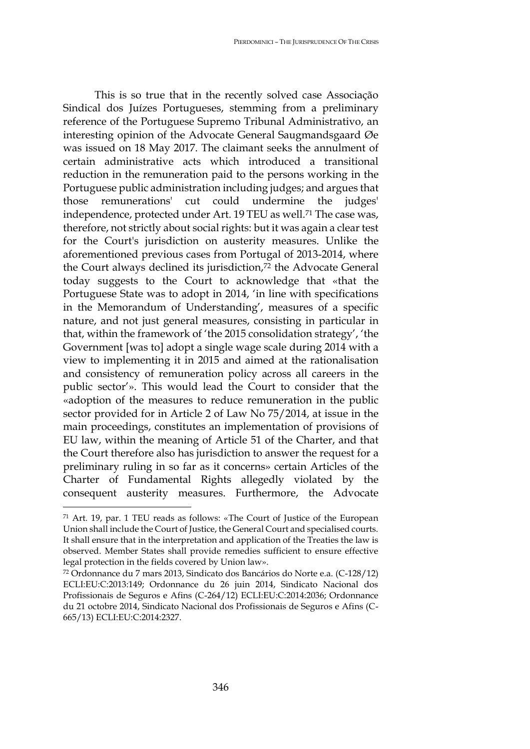This is so true that in the recently solved case Associação Sindical dos Juízes Portugueses, stemming from a preliminary reference of the Portuguese Supremo Tribunal Administrativo, an interesting opinion of the Advocate General Saugmandsgaard Øe was issued on 18 May 2017. The claimant seeks the annulment of certain administrative acts which introduced a transitional reduction in the remuneration paid to the persons working in the Portuguese public administration including judges; and argues that those remunerations' cut could undermine the judges' independence, protected under Art. 19 TEU as well.<sup>71</sup> The case was, therefore, not strictly about social rights: but it was again a clear test for the Court's jurisdiction on austerity measures. Unlike the aforementioned previous cases from Portugal of 2013-2014, where the Court always declined its jurisdiction,<sup>72</sup> the Advocate General today suggests to the Court to acknowledge that «that the Portuguese State was to adopt in 2014, 'in line with specifications in the Memorandum of Understanding', measures of a specific nature, and not just general measures, consisting in particular in that, within the framework of 'the 2015 consolidation strategy', 'the Government [was to] adopt a single wage scale during 2014 with a view to implementing it in 2015 and aimed at the rationalisation and consistency of remuneration policy across all careers in the public sector'». This would lead the Court to consider that the «adoption of the measures to reduce remuneration in the public sector provided for in Article 2 of Law No 75/2014, at issue in the main proceedings, constitutes an implementation of provisions of EU law, within the meaning of Article 51 of the Charter, and that the Court therefore also has jurisdiction to answer the request for a preliminary ruling in so far as it concerns» certain Articles of the Charter of Fundamental Rights allegedly violated by the consequent austerity measures. Furthermore, the Advocate

<sup>71</sup> Art. 19, par. 1 TEU reads as follows: «The Court of Justice of the European Union shall include the Court of Justice, the General Court and specialised courts. It shall ensure that in the interpretation and application of the Treaties the law is observed. Member States shall provide remedies sufficient to ensure effective legal protection in the fields covered by Union law».

<sup>72</sup> Ordonnance du 7 mars 2013, Sindicato dos Bancários do Norte e.a. (C-128/12) ECLI:EU:C:2013:149; Ordonnance du 26 juin 2014, Sindicato Nacional dos Profissionais de Seguros e Afins (C-264/12) ECLI:EU:C:2014:2036; Ordonnance du 21 octobre 2014, Sindicato Nacional dos Profissionais de Seguros e Afins (C-665/13) ECLI:EU:C:2014:2327.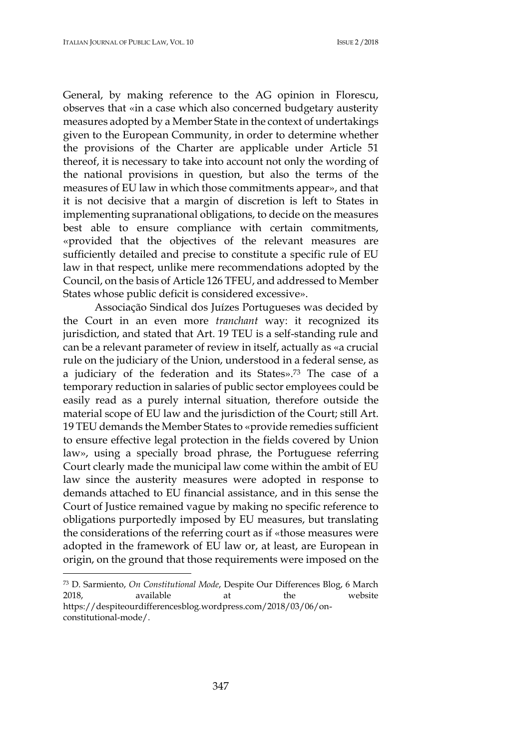General, by making reference to the AG opinion in Florescu, observes that «in a case which also concerned budgetary austerity measures adopted by a Member State in the context of undertakings given to the European Community, in order to determine whether the provisions of the Charter are applicable under Article 51 thereof, it is necessary to take into account not only the wording of the national provisions in question, but also the terms of the measures of EU law in which those commitments appear», and that it is not decisive that a margin of discretion is left to States in implementing supranational obligations, to decide on the measures best able to ensure compliance with certain commitments, «provided that the objectives of the relevant measures are sufficiently detailed and precise to constitute a specific rule of EU law in that respect, unlike mere recommendations adopted by the Council, on the basis of Article 126 TFEU, and addressed to Member States whose public deficit is considered excessive».

Associação Sindical dos Juízes Portugueses was decided by the Court in an even more *tranchant* way: it recognized its jurisdiction, and stated that Art. 19 TEU is a self-standing rule and can be a relevant parameter of review in itself, actually as «a crucial rule on the judiciary of the Union, understood in a federal sense, as a judiciary of the federation and its States».<sup>73</sup> The case of a temporary reduction in salaries of public sector employees could be easily read as a purely internal situation, therefore outside the material scope of EU law and the jurisdiction of the Court; still Art. 19 TEU demands the Member States to «provide remedies sufficient to ensure effective legal protection in the fields covered by Union law», using a specially broad phrase, the Portuguese referring Court clearly made the municipal law come within the ambit of EU law since the austerity measures were adopted in response to demands attached to EU financial assistance, and in this sense the Court of Justice remained vague by making no specific reference to obligations purportedly imposed by EU measures, but translating the considerations of the referring court as if «those measures were adopted in the framework of EU law or, at least, are European in origin, on the ground that those requirements were imposed on the

<sup>73</sup> D. Sarmiento, *On Constitutional Mode*, Despite Our Differences Blog, 6 March 2018, available at the website https://despiteourdifferencesblog.wordpress.com/2018/03/06/onconstitutional-mode/.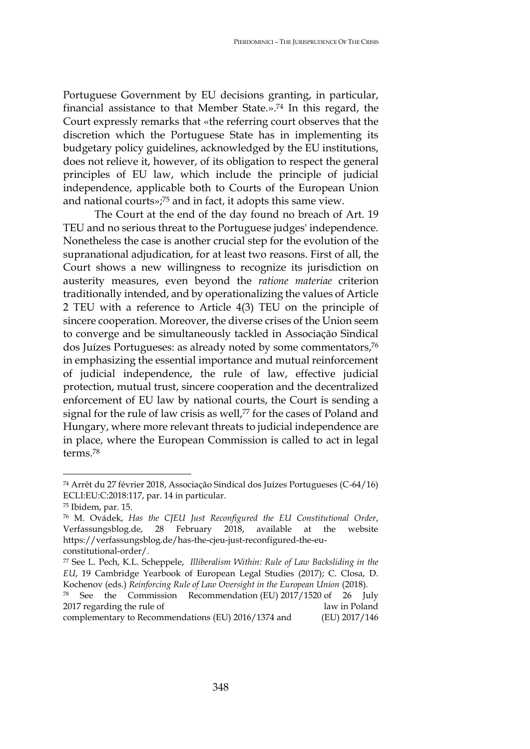Portuguese Government by EU decisions granting, in particular, financial assistance to that Member State.».<sup>74</sup> In this regard, the Court expressly remarks that «the referring court observes that the discretion which the Portuguese State has in implementing its budgetary policy guidelines, acknowledged by the EU institutions, does not relieve it, however, of its obligation to respect the general principles of EU law, which include the principle of judicial independence, applicable both to Courts of the European Union and national courts»;<sup>75</sup> and in fact, it adopts this same view.

The Court at the end of the day found no breach of Art. 19 TEU and no serious threat to the Portuguese judges' independence. Nonetheless the case is another crucial step for the evolution of the supranational adjudication, for at least two reasons. First of all, the Court shows a new willingness to recognize its jurisdiction on austerity measures, even beyond the *ratione materiae* criterion traditionally intended, and by operationalizing the values of Article 2 TEU with a reference to Article 4(3) TEU on the principle of sincere cooperation. Moreover, the diverse crises of the Union seem to converge and be simultaneously tackled in Associação Sindical dos Juízes Portugueses: as already noted by some commentators,<sup>76</sup> in emphasizing the essential importance and mutual reinforcement of judicial independence, the rule of law, effective judicial protection, mutual trust, sincere cooperation and the decentralized enforcement of EU law by national courts, the Court is sending a signal for the rule of law crisis as well,<sup>77</sup> for the cases of Poland and Hungary, where more relevant threats to judicial independence are in place, where the European Commission is called to act in legal terms.<sup>78</sup>

<sup>74</sup> Arrêt du 27 février 2018, Associação Sindical dos Juízes Portugueses (C-64/16) ECLI:EU:C:2018:117, par. 14 in particular.

<sup>75</sup> Ibidem, par. 15.

<sup>76</sup> M. [Ovádek,](https://verfassungsblog.de/author/michal-ovadek/) *Has the CJEU Just Reconfigured the EU Constitutional Order*, Verfassungsblog.de, 28 February 2018, available at the website https://verfassungsblog.de/has-the-cjeu-just-reconfigured-the-euconstitutional-order/.

<sup>77</sup> See L. [Pech, K.L. Scheppele,](https://www.cambridge.org/core/search?filters%5BauthorTerms%5D=Laurent%20PECH&eventCode=SE-AU) *Illiberalism Within: Rule of Law Backsliding in the EU*, 19 Cambridge Yearbook of European Legal Studies (2017); C. Closa, D. Kochenov (eds.) *Reinforcing Rule of Law Oversight in the European Union* (2018).

<sup>78</sup> See the Commission Recommendation (EU) 2017/1520 of 26 July 2017 regarding the rule of law in Poland complementary to Recommendations (EU) 2016/1374 and (EU) 2017/146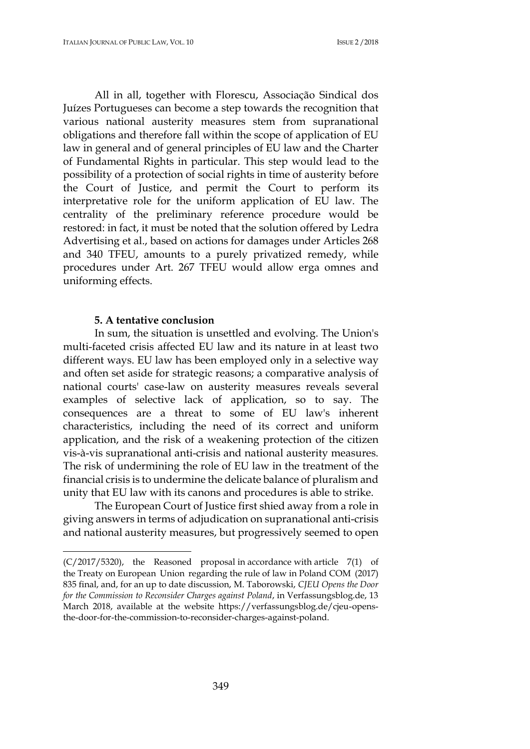All in all, together with Florescu, Associação Sindical dos Juízes Portugueses can become a step towards the recognition that various national austerity measures stem from supranational obligations and therefore fall within the scope of application of EU law in general and of general principles of EU law and the Charter of Fundamental Rights in particular. This step would lead to the possibility of a protection of social rights in time of austerity before the Court of Justice, and permit the Court to perform its interpretative role for the uniform application of EU law. The centrality of the preliminary reference procedure would be restored: in fact, it must be noted that the solution offered by Ledra Advertising et al., based on actions for damages under Articles 268 and 340 TFEU, amounts to a purely privatized remedy, while procedures under Art. 267 TFEU would allow erga omnes and uniforming effects.

#### **5. A tentative conclusion**

 $\overline{a}$ 

In sum, the situation is unsettled and evolving. The Union's multi-faceted crisis affected EU law and its nature in at least two different ways. EU law has been employed only in a selective way and often set aside for strategic reasons; a comparative analysis of national courts' case-law on austerity measures reveals several examples of selective lack of application, so to say. The consequences are a threat to some of EU law's inherent characteristics, including the need of its correct and uniform application, and the risk of a weakening protection of the citizen vis-à-vis supranational anti-crisis and national austerity measures. The risk of undermining the role of EU law in the treatment of the financial crisis is to undermine the delicate balance of pluralism and unity that EU law with its canons and procedures is able to strike.

The European Court of Justice first shied away from a role in giving answers in terms of adjudication on supranational anti-crisis and national austerity measures, but progressively seemed to open

<sup>(</sup>C/2017/5320), the Reasoned proposal in accordance with article 7(1) of the Treaty on European Union regarding the rule of law in Poland COM (2017) 835 final, and, for an up to date discussion, M. Taborowski, *CJEU Opens the Door for the Commission to Reconsider Charges against Poland*, in Verfassungsblog.de, 13 March 2018, available at the website https://verfassungsblog.de/cjeu-opensthe-door-for-the-commission-to-reconsider-charges-against-poland.